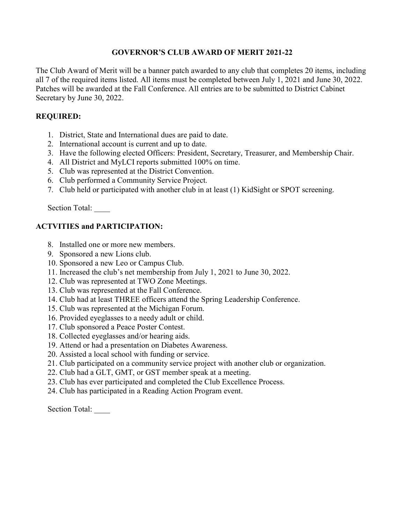## GOVERNOR'S CLUB AWARD OF MERIT 2021-22

The Club Award of Merit will be a banner patch awarded to any club that completes 20 items, including all 7 of the required items listed. All items must be completed between July 1, 2021 and June 30, 2022. Patches will be awarded at the Fall Conference. All entries are to be submitted to District Cabinet Secretary by June 30, 2022.

# REQUIRED:

- 1. District, State and International dues are paid to date.
- 2. International account is current and up to date.
- 3. Have the following elected Officers: President, Secretary, Treasurer, and Membership Chair.
- 4. All District and MyLCI reports submitted 100% on time.
- 5. Club was represented at the District Convention.
- 6. Club performed a Community Service Project.
- 7. Club held or participated with another club in at least (1) KidSight or SPOT screening.

Section Total:

# ACTVITIES and PARTICIPATION:

- 8. Installed one or more new members.
- 9. Sponsored a new Lions club.
- 10. Sponsored a new Leo or Campus Club.
- 11. Increased the club's net membership from July 1, 2021 to June 30, 2022.
- 12. Club was represented at TWO Zone Meetings.
- 13. Club was represented at the Fall Conference.
- 14. Club had at least THREE officers attend the Spring Leadership Conference.
- 15. Club was represented at the Michigan Forum.
- 16. Provided eyeglasses to a needy adult or child.
- 17. Club sponsored a Peace Poster Contest.
- 18. Collected eyeglasses and/or hearing aids.
- 19. Attend or had a presentation on Diabetes Awareness.
- 20. Assisted a local school with funding or service.
- 21. Club participated on a community service project with another club or organization.
- 22. Club had a GLT, GMT, or GST member speak at a meeting.
- 23. Club has ever participated and completed the Club Excellence Process.
- 24. Club has participated in a Reading Action Program event.

Section Total: